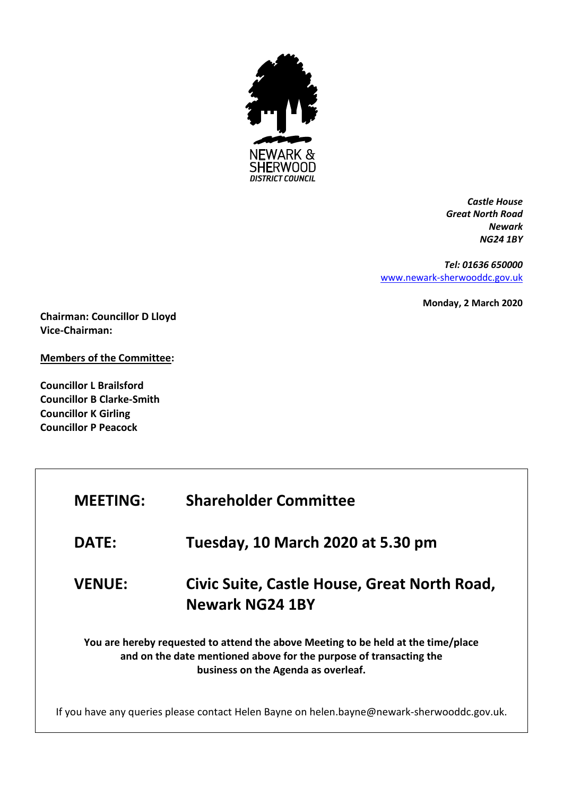

*Castle House Great North Road Newark NG24 1BY*

*Tel: 01636 650000* [www.newark-sherwooddc.gov.uk](http://www.newark-sherwooddc.gov.uk/)

**Monday, 2 March 2020**

**Chairman: Councillor D Lloyd Vice-Chairman:** 

**Members of the Committee:**

**Councillor L Brailsford Councillor B Clarke-Smith Councillor K Girling Councillor P Peacock**

| <b>MEETING:</b>                                                                                                                                                                                | <b>Shareholder Committee</b>                                           |  |
|------------------------------------------------------------------------------------------------------------------------------------------------------------------------------------------------|------------------------------------------------------------------------|--|
| <b>DATE:</b>                                                                                                                                                                                   | Tuesday, 10 March 2020 at 5.30 pm                                      |  |
| <b>VENUE:</b>                                                                                                                                                                                  | Civic Suite, Castle House, Great North Road,<br><b>Newark NG24 1BY</b> |  |
| You are hereby requested to attend the above Meeting to be held at the time/place<br>and on the date mentioned above for the purpose of transacting the<br>business on the Agenda as overleaf. |                                                                        |  |
| If you have any queries please contact Helen Bayne on helen.bayne@newark-sherwooddc.gov.uk.                                                                                                    |                                                                        |  |